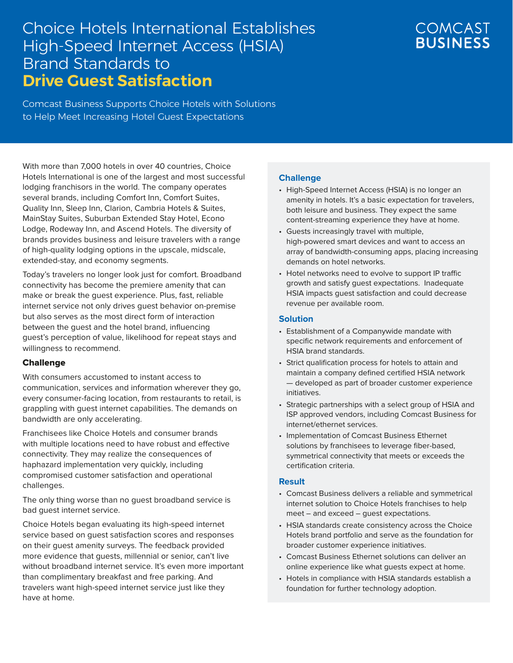# Choice Hotels International Establishes High-Speed Internet Access (HSIA) Brand Standards to **Drive Guest Satisfaction**

## **COMCAST BUSINESS**

Comcast Business Supports Choice Hotels with Solutions to Help Meet Increasing Hotel Guest Expectations

With more than 7,000 hotels in over 40 countries, Choice Hotels International is one of the largest and most successful lodging franchisors in the world. The company operates several brands, including Comfort Inn, Comfort Suites, Quality Inn, Sleep Inn, Clarion, Cambria Hotels & Suites, MainStay Suites, Suburban Extended Stay Hotel, Econo Lodge, Rodeway Inn, and Ascend Hotels. The diversity of brands provides business and leisure travelers with a range of high-quality lodging options in the upscale, midscale, extended-stay, and economy segments.

Today's travelers no longer look just for comfort. Broadband connectivity has become the premiere amenity that can make or break the guest experience. Plus, fast, reliable internet service not only drives guest behavior on-premise but also serves as the most direct form of interaction between the guest and the hotel brand, influencing guest's perception of value, likelihood for repeat stays and willingness to recommend.

#### Challenge

With consumers accustomed to instant access to communication, services and information wherever they go, every consumer-facing location, from restaurants to retail, is grappling with guest internet capabilities. The demands on bandwidth are only accelerating.

Franchisees like Choice Hotels and consumer brands with multiple locations need to have robust and effective connectivity. They may realize the consequences of haphazard implementation very quickly, including compromised customer satisfaction and operational challenges.

The only thing worse than no guest broadband service is bad guest internet service.

Choice Hotels began evaluating its high-speed internet service based on guest satisfaction scores and responses on their guest amenity surveys. The feedback provided more evidence that guests, millennial or senior, can't live without broadband internet service. It's even more important than complimentary breakfast and free parking. And travelers want high-speed internet service just like they have at home.

#### **Challenge**

- High-Speed Internet Access (HSIA) is no longer an amenity in hotels. It's a basic expectation for travelers, both leisure and business. They expect the same content-streaming experience they have at home.
- Guests increasingly travel with multiple, high-powered smart devices and want to access an array of bandwidth-consuming apps, placing increasing demands on hotel networks.
- Hotel networks need to evolve to support IP traffic growth and satisfy guest expectations. Inadequate HSIA impacts guest satisfaction and could decrease revenue per available room.

#### **Solution**

- Establishment of a Companywide mandate with specific network requirements and enforcement of HSIA brand standards.
- Strict qualification process for hotels to attain and maintain a company defined certified HSIA network — developed as part of broader customer experience initiatives.
- Strategic partnerships with a select group of HSIA and ISP approved vendors, including Comcast Business for internet/ethernet services.
- Implementation of Comcast Business Ethernet solutions by franchisees to leverage fiber-based, symmetrical connectivity that meets or exceeds the certification criteria.

#### **Result**

- Comcast Business delivers a reliable and symmetrical internet solution to Choice Hotels franchises to help meet – and exceed – guest expectations.
- HSIA standards create consistency across the Choice Hotels brand portfolio and serve as the foundation for broader customer experience initiatives.
- Comcast Business Ethernet solutions can deliver an online experience like what guests expect at home.
- Hotels in compliance with HSIA standards establish a foundation for further technology adoption.